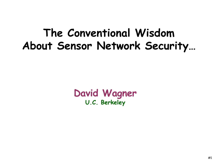## **The Conventional Wisdom About Sensor Network Security…**

#### **David Wagner U.C. Berkeley**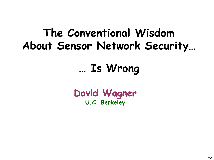# **The Conventional Wisdom About Sensor Network Security…**

# **… Is Wrong**

**David Wagner U.C. Berkeley**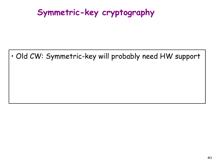#### **Symmetric-key cryptography**

• Old CW: Symmetric-key will probably need HW support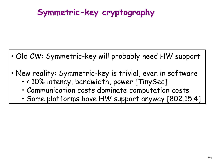### **Symmetric-key cryptography**

- Old CW: Symmetric-key will probably need HW support
- New reality: Symmetric-key is trivial, even in software
	- < 10% latency, bandwidth, power [TinySec]
	- Communication costs dominate computation costs
	- Some platforms have HW support anyway [802.15.4]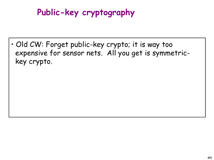### **Public-key cryptography**

• Old CW: Forget public-key crypto; it is way too expensive for sensor nets. All you get is symmetrickey crypto.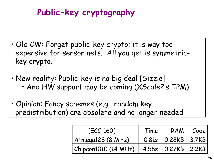### **Public-key cryptography**

- Old CW: Forget public-key crypto; it is way too expensive for sensor nets. All you get is symmetrickey crypto.
- New reality: Public-key is no big deal [Sizzle] • And HW support may be coming (XScale2's TPM)
- Opinion: Fancy schemes (e.g., random key predistribution) are obsolete and no longer needed

| $[ECC-160]$          | Time | RAM I                | Code |
|----------------------|------|----------------------|------|
| Atmega128 (8 MHz)    |      | $0.81s$ 0.28KB 3.7KB |      |
| Chipcon1010 (14 MHz) |      | 4.58s 0.27KB 2.2KB   |      |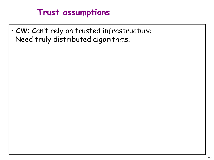#### **Trust assumptions**

• CW: Can't rely on trusted infrastructure. Need truly distributed algorithms.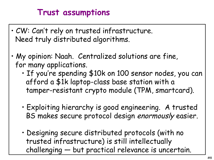#### **Trust assumptions**

- CW: Can't rely on trusted infrastructure. Need truly distributed algorithms.
- My opinion: Naah. Centralized solutions are fine, for many applications.
	- If you re spending \$10k on 100 sensor nodes, you can ' afford a \$1k laptop-class base station with a tamper-resistant crypto module (TPM, smartcard).
	- Exploiting hierarchy is good engineering. A trusted BS makes secure protocol design enormously easier.
	- Designing secure distributed protocols (with no trusted infrastructure) is still intellectually challenging — but practical relevance is uncertain.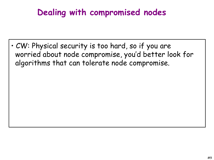### **Dealing with compromised nodes**

• CW: Physical security is too hard, so if you are worried about node compromise, you 'd better look for algorithms that can tolerate node compromise.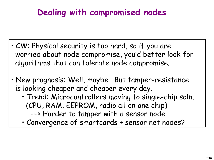### **Dealing with compromised nodes**

- CW: Physical security is too hard, so if you are worried about node compromise, you 'd better look for algorithms that can tolerate node compromise.
- New prognosis: Well, maybe. But tamper-resistance is looking cheaper and cheaper every day.
	- Trend: Microcontrollers moving to single-chip soln. (CPU, RAM, EEPROM, radio all on one chip) ==> Harder to tamper with a sensor node
	- Convergence of smartcards + sensor net nodes?